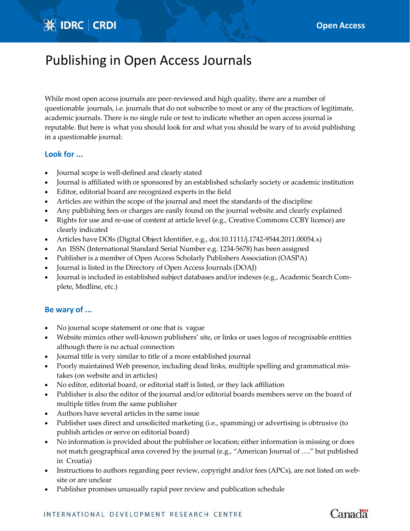## **※ IDRC | CRDI**

# Publishing in Open Access Journals

While most open access journals are peer-reviewed and high quality, there are a number of questionable journals, i.e. journals that do not subscribe to most or any of the practices of legitimate, academic journals. There is no single rule or test to indicate whether an open access journal is reputable. But here is what you should look for and what you should be wary of to avoid publishing in a questionable journal:

#### **Look for ...**

- Journal scope is well‐defined and clearly stated
- Journal is affiliated with or sponsored by an established scholarly society or academic institution
- Editor, editorial board are recognized experts in the field
- Articles are within the scope of the journal and meet the standards of the discipline
- Any publishing fees or charges are easily found on the journal website and clearly explained
- Rights for use and re-use of content at article level (e.g., Creative Commons CCBY licence) are clearly indicated
- Articles have DOIs (Digital Object Identifier, e.g., doi:10.1111/j.1742-9544.2011.00054.x)
- An ISSN (International Standard Serial Number e.g. 1234-5678) has been assigned
- Publisher is a member of Open Access Scholarly Publishers Association (OASPA)
- Journal is listed in the Directory of Open Access Journals (DOAJ)
- Journal is included in established subject databases and/or indexes (e.g., Academic Search Complete, Medline, etc.)

#### **Be wary of ...**

- No journal scope statement or one that is vague
- Website mimics other well-known publishers' site, or links or uses logos of recognisable entities although there is no actual connection
- Journal title is very similar to title of a more established journal
- Poorly maintained Web presence, including dead links, multiple spelling and grammatical mistakes (on website and in articles)
- No editor, editorial board, or editorial staff is listed, or they lack affiliation
- Publisher is also the editor of the journal and/or editorial boards members serve on the board of multiple titles from the same publisher
- Authors have several articles in the same issue
- Publisher uses direct and unsolicited marketing (i.e., spamming) or advertising is obtrusive (to publish articles or serve on editorial board)
- No information is provided about the publisher or location; either information is missing or does not match geographical area covered by the journal (e.g., "American Journal of …." but published in Croatia)
- Instructions to authors regarding peer review, copyright and/or fees (APCs), are not listed on web– site or are unclear
- Publisher promises unusually rapid peer review and publication schedule